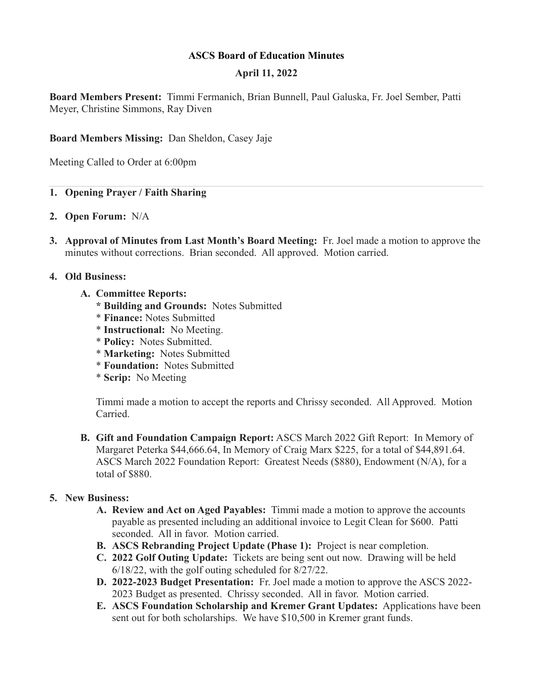### **ASCS Board of Education Minutes**

## **April 11, 2022**

**Board Members Present:** Timmi Fermanich, Brian Bunnell, Paul Galuska, Fr. Joel Sember, Patti Meyer, Christine Simmons, Ray Diven

## **Board Members Missing:** Dan Sheldon, Casey Jaje

Meeting Called to Order at 6:00pm

## **1. Opening Prayer / Faith Sharing**

- **2. Open Forum:** N/A
- **3. Approval of Minutes from Last Month's Board Meeting:** Fr. Joel made a motion to approve the minutes without corrections. Brian seconded. All approved. Motion carried.

#### **4. Old Business:**

- **A. Committee Reports:**
	- **\* Building and Grounds:** Notes Submitted
	- \* **Finance:** Notes Submitted
	- \* **Instructional:** No Meeting.
	- \* **Policy:** Notes Submitted.
	- \* **Marketing:** Notes Submitted
	- \* **Foundation:** Notes Submitted
	- \* **Scrip:** No Meeting

Timmi made a motion to accept the reports and Chrissy seconded. All Approved. Motion Carried.

**B. Gift and Foundation Campaign Report:** ASCS March 2022 Gift Report: In Memory of Margaret Peterka \$44,666.64, In Memory of Craig Marx \$225, for a total of \$44,891.64. ASCS March 2022 Foundation Report:Greatest Needs (\$880), Endowment (N/A), for a total of \$880.

#### **5. New Business:**

- **A. Review and Act on Aged Payables:** Timmi made a motion to approve the accounts payable as presented including an additional invoice to Legit Clean for \$600. Patti seconded. All in favor. Motion carried.
- **B. ASCS Rebranding Project Update (Phase 1):** Project is near completion.
- **C. 2022 Golf Outing Update:** Tickets are being sent out now. Drawing will be held 6/18/22, with the golf outing scheduled for 8/27/22.
- **D. 2022-2023 Budget Presentation:** Fr. Joel made a motion to approve the ASCS 2022- 2023 Budget as presented. Chrissy seconded. All in favor. Motion carried.
- **E. ASCS Foundation Scholarship and Kremer Grant Updates:** Applications have been sent out for both scholarships. We have \$10,500 in Kremer grant funds.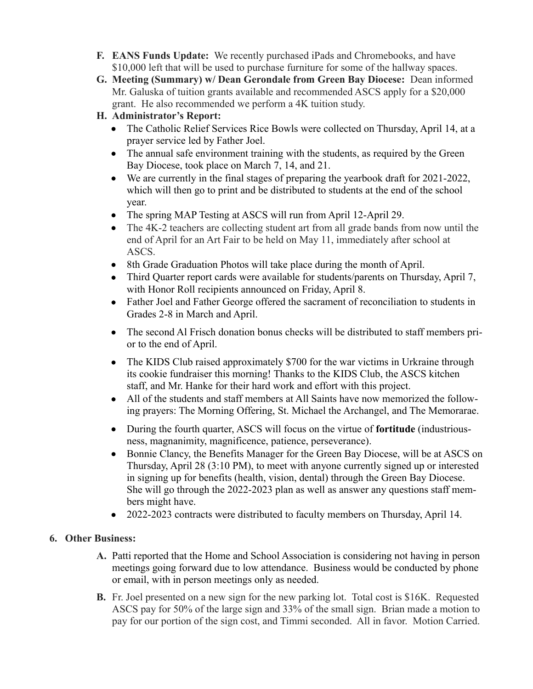- **F. EANS Funds Update:** We recently purchased iPads and Chromebooks, and have \$10,000 left that will be used to purchase furniture for some of the hallway spaces.
- **G. Meeting (Summary) w/ Dean Gerondale from Green Bay Diocese:** Dean informed Mr. Galuska of tuition grants available and recommended ASCS apply for a \$20,000 grant. He also recommended we perform a 4K tuition study.
- **H. Administrator's Report:**
	- The Catholic Relief Services Rice Bowls were collected on Thursday, April 14, at a prayer service led by Father Joel.
	- The annual safe environment training with the students, as required by the Green Bay Diocese, took place on March 7, 14, and 21.
	- We are currently in the final stages of preparing the yearbook draft for 2021-2022, which will then go to print and be distributed to students at the end of the school year.
	- The spring MAP Testing at ASCS will run from April 12-April 29.
	- The 4K-2 teachers are collecting student art from all grade bands from now until the end of April for an Art Fair to be held on May 11, immediately after school at ASCS.
	- 8th Grade Graduation Photos will take place during the month of April.
	- Third Quarter report cards were available for students/parents on Thursday, April 7, with Honor Roll recipients announced on Friday, April 8.
	- Father Joel and Father George offered the sacrament of reconciliation to students in Grades 2-8 in March and April.
	- The second Al Frisch donation bonus checks will be distributed to staff members prior to the end of April.
	- The KIDS Club raised approximately \$700 for the war victims in Urkraine through its cookie fundraiser this morning! Thanks to the KIDS Club, the ASCS kitchen staff, and Mr. Hanke for their hard work and effort with this project.
	- All of the students and staff members at All Saints have now memorized the following prayers: The Morning Offering, St. Michael the Archangel, and The Memorarae.
	- During the fourth quarter, ASCS will focus on the virtue of **fortitude** (industriousness, magnanimity, magnificence, patience, perseverance).
	- Bonnie Clancy, the Benefits Manager for the Green Bay Diocese, will be at ASCS on Thursday, April 28 (3:10 PM), to meet with anyone currently signed up or interested in signing up for benefits (health, vision, dental) through the Green Bay Diocese. She will go through the 2022-2023 plan as well as answer any questions staff members might have.
	- 2022-2023 contracts were distributed to faculty members on Thursday, April 14.

# **6. Other Business:**

- **A.** Patti reported that the Home and School Association is considering not having in person meetings going forward due to low attendance. Business would be conducted by phone or email, with in person meetings only as needed.
- **B.** Fr. Joel presented on a new sign for the new parking lot. Total cost is \$16K. Requested ASCS pay for 50% of the large sign and 33% of the small sign. Brian made a motion to pay for our portion of the sign cost, and Timmi seconded. All in favor. Motion Carried.